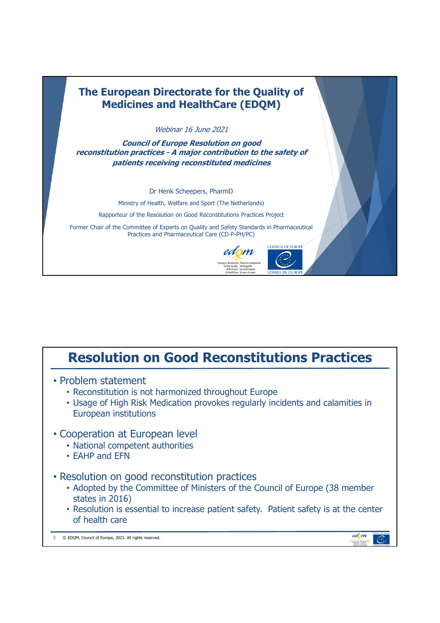

## **Resolution on Good Reconstitutions Practices**

- Problem statement
	- Reconstitution is not harmonized throughout Europe
	- Usage of High Risk Medication provokes regularly incidents and calamities in European institutions

## • Cooperation at European level

- National competent authorities
- EAHP and EFN
- Resolution on good reconstitution practices
	- Adopted by the Committee of Ministers of the Council of Europe (38 member states in 2016)
	- Resolution is essential to increase patient safety. Patient safety is at the center of health care

2 © EDQM, Council of Europe, 2021. All rights reserved.